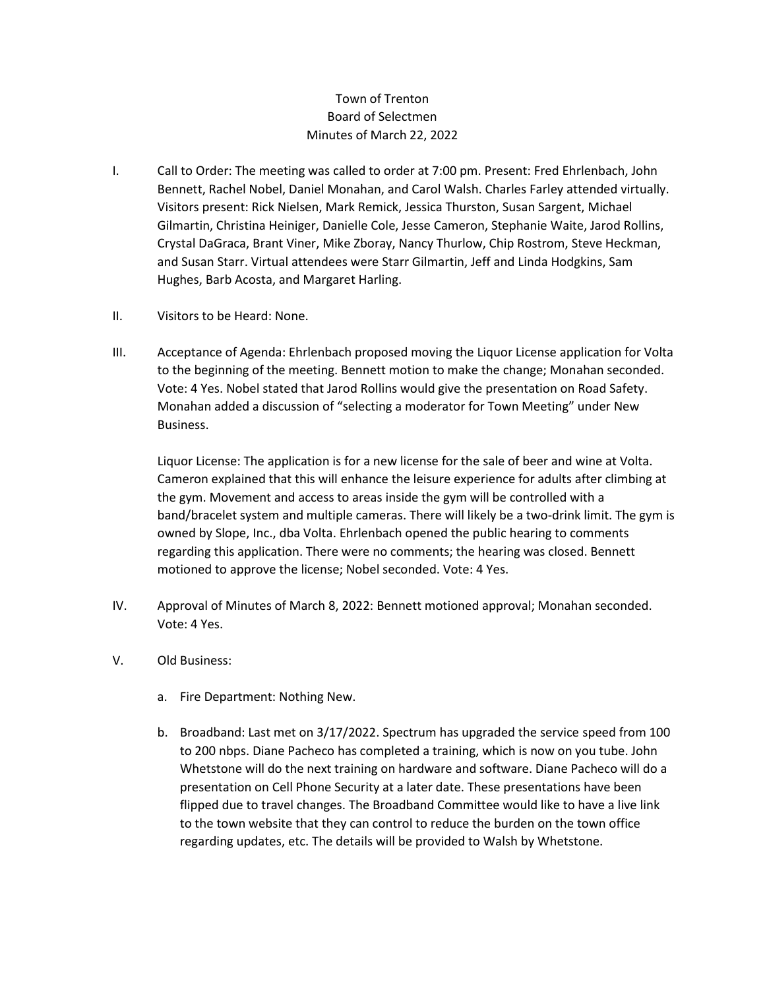## Town of Trenton Board of Selectmen Minutes of March 22, 2022

- I. Call to Order: The meeting was called to order at 7:00 pm. Present: Fred Ehrlenbach, John Bennett, Rachel Nobel, Daniel Monahan, and Carol Walsh. Charles Farley attended virtually. Visitors present: Rick Nielsen, Mark Remick, Jessica Thurston, Susan Sargent, Michael Gilmartin, Christina Heiniger, Danielle Cole, Jesse Cameron, Stephanie Waite, Jarod Rollins, Crystal DaGraca, Brant Viner, Mike Zboray, Nancy Thurlow, Chip Rostrom, Steve Heckman, and Susan Starr. Virtual attendees were Starr Gilmartin, Jeff and Linda Hodgkins, Sam Hughes, Barb Acosta, and Margaret Harling.
- II. Visitors to be Heard: None.
- III. Acceptance of Agenda: Ehrlenbach proposed moving the Liquor License application for Volta to the beginning of the meeting. Bennett motion to make the change; Monahan seconded. Vote: 4 Yes. Nobel stated that Jarod Rollins would give the presentation on Road Safety. Monahan added a discussion of "selecting a moderator for Town Meeting" under New Business.

Liquor License: The application is for a new license for the sale of beer and wine at Volta. Cameron explained that this will enhance the leisure experience for adults after climbing at the gym. Movement and access to areas inside the gym will be controlled with a band/bracelet system and multiple cameras. There will likely be a two-drink limit. The gym is owned by Slope, Inc., dba Volta. Ehrlenbach opened the public hearing to comments regarding this application. There were no comments; the hearing was closed. Bennett motioned to approve the license; Nobel seconded. Vote: 4 Yes.

- IV. Approval of Minutes of March 8, 2022: Bennett motioned approval; Monahan seconded. Vote: 4 Yes.
- V. Old Business:
	- a. Fire Department: Nothing New.
	- b. Broadband: Last met on 3/17/2022. Spectrum has upgraded the service speed from 100 to 200 nbps. Diane Pacheco has completed a training, which is now on you tube. John Whetstone will do the next training on hardware and software. Diane Pacheco will do a presentation on Cell Phone Security at a later date. These presentations have been flipped due to travel changes. The Broadband Committee would like to have a live link to the town website that they can control to reduce the burden on the town office regarding updates, etc. The details will be provided to Walsh by Whetstone.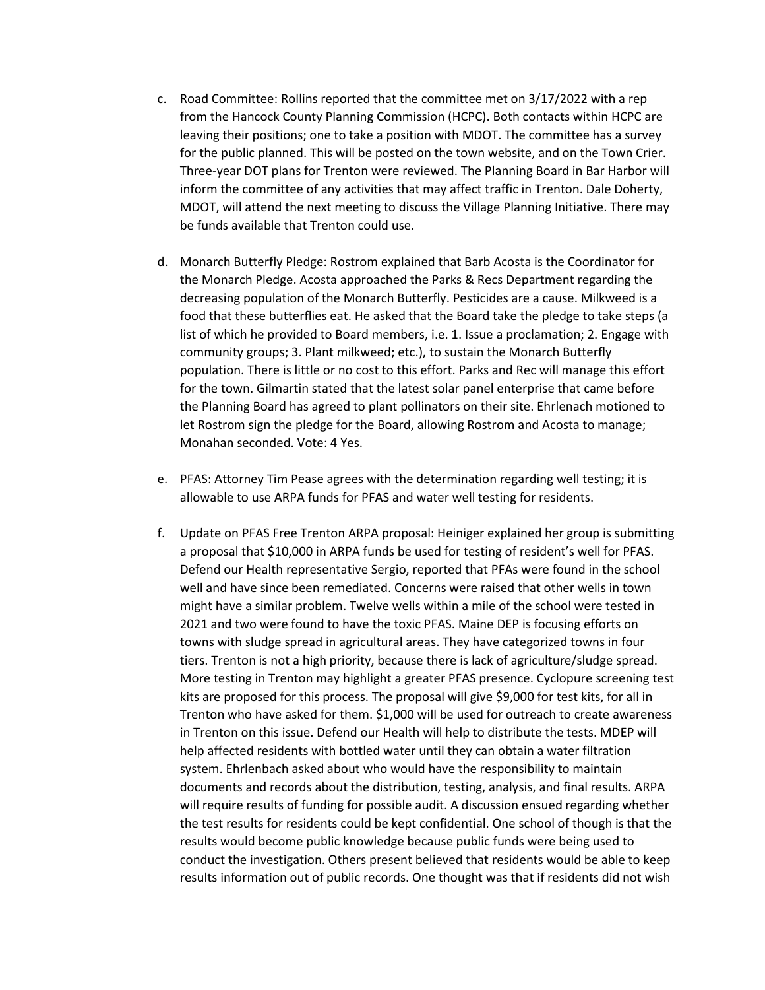- c. Road Committee: Rollins reported that the committee met on 3/17/2022 with a rep from the Hancock County Planning Commission (HCPC). Both contacts within HCPC are leaving their positions; one to take a position with MDOT. The committee has a survey for the public planned. This will be posted on the town website, and on the Town Crier. Three-year DOT plans for Trenton were reviewed. The Planning Board in Bar Harbor will inform the committee of any activities that may affect traffic in Trenton. Dale Doherty, MDOT, will attend the next meeting to discuss the Village Planning Initiative. There may be funds available that Trenton could use.
- d. Monarch Butterfly Pledge: Rostrom explained that Barb Acosta is the Coordinator for the Monarch Pledge. Acosta approached the Parks & Recs Department regarding the decreasing population of the Monarch Butterfly. Pesticides are a cause. Milkweed is a food that these butterflies eat. He asked that the Board take the pledge to take steps (a list of which he provided to Board members, i.e. 1. Issue a proclamation; 2. Engage with community groups; 3. Plant milkweed; etc.), to sustain the Monarch Butterfly population. There is little or no cost to this effort. Parks and Rec will manage this effort for the town. Gilmartin stated that the latest solar panel enterprise that came before the Planning Board has agreed to plant pollinators on their site. Ehrlenach motioned to let Rostrom sign the pledge for the Board, allowing Rostrom and Acosta to manage; Monahan seconded. Vote: 4 Yes.
- e. PFAS: Attorney Tim Pease agrees with the determination regarding well testing; it is allowable to use ARPA funds for PFAS and water well testing for residents.
- f. Update on PFAS Free Trenton ARPA proposal: Heiniger explained her group is submitting a proposal that \$10,000 in ARPA funds be used for testing of resident's well for PFAS. Defend our Health representative Sergio, reported that PFAs were found in the school well and have since been remediated. Concerns were raised that other wells in town might have a similar problem. Twelve wells within a mile of the school were tested in 2021 and two were found to have the toxic PFAS. Maine DEP is focusing efforts on towns with sludge spread in agricultural areas. They have categorized towns in four tiers. Trenton is not a high priority, because there is lack of agriculture/sludge spread. More testing in Trenton may highlight a greater PFAS presence. Cyclopure screening test kits are proposed for this process. The proposal will give \$9,000 for test kits, for all in Trenton who have asked for them. \$1,000 will be used for outreach to create awareness in Trenton on this issue. Defend our Health will help to distribute the tests. MDEP will help affected residents with bottled water until they can obtain a water filtration system. Ehrlenbach asked about who would have the responsibility to maintain documents and records about the distribution, testing, analysis, and final results. ARPA will require results of funding for possible audit. A discussion ensued regarding whether the test results for residents could be kept confidential. One school of though is that the results would become public knowledge because public funds were being used to conduct the investigation. Others present believed that residents would be able to keep results information out of public records. One thought was that if residents did not wish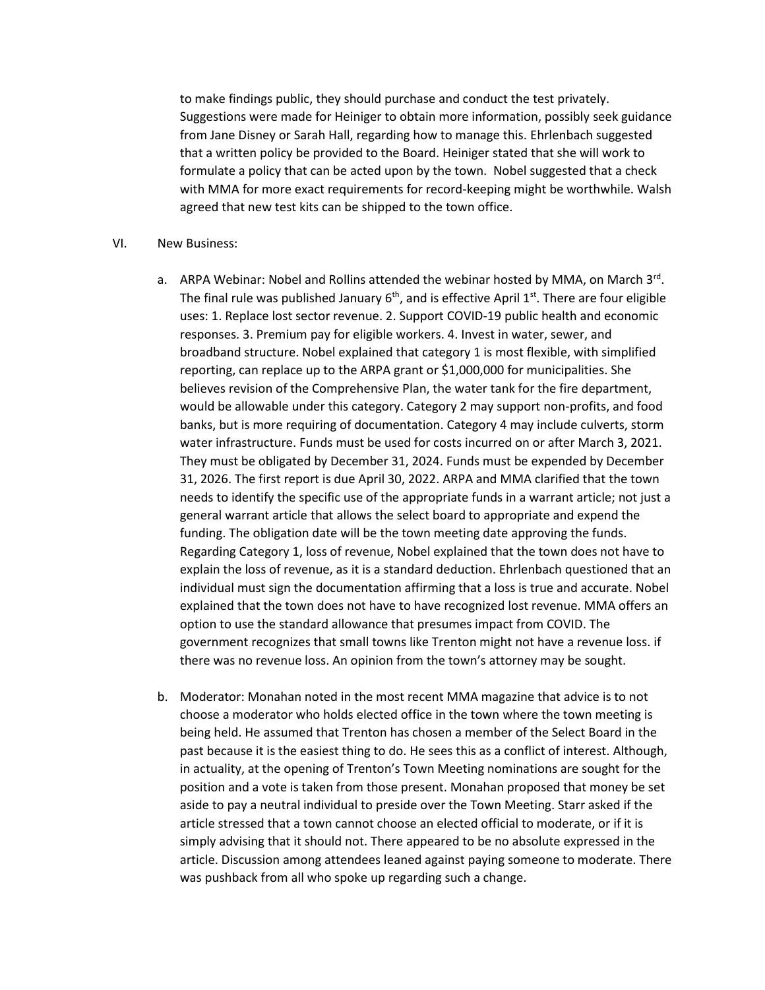to make findings public, they should purchase and conduct the test privately. Suggestions were made for Heiniger to obtain more information, possibly seek guidance from Jane Disney or Sarah Hall, regarding how to manage this. Ehrlenbach suggested that a written policy be provided to the Board. Heiniger stated that she will work to formulate a policy that can be acted upon by the town. Nobel suggested that a check with MMA for more exact requirements for record-keeping might be worthwhile. Walsh agreed that new test kits can be shipped to the town office.

## VI. New Business:

- a. ARPA Webinar: Nobel and Rollins attended the webinar hosted by MMA, on March  $3<sup>rd</sup>$ . The final rule was published January  $6<sup>th</sup>$ , and is effective April 1<sup>st</sup>. There are four eligible uses: 1. Replace lost sector revenue. 2. Support COVID-19 public health and economic responses. 3. Premium pay for eligible workers. 4. Invest in water, sewer, and broadband structure. Nobel explained that category 1 is most flexible, with simplified reporting, can replace up to the ARPA grant or \$1,000,000 for municipalities. She believes revision of the Comprehensive Plan, the water tank for the fire department, would be allowable under this category. Category 2 may support non-profits, and food banks, but is more requiring of documentation. Category 4 may include culverts, storm water infrastructure. Funds must be used for costs incurred on or after March 3, 2021. They must be obligated by December 31, 2024. Funds must be expended by December 31, 2026. The first report is due April 30, 2022. ARPA and MMA clarified that the town needs to identify the specific use of the appropriate funds in a warrant article; not just a general warrant article that allows the select board to appropriate and expend the funding. The obligation date will be the town meeting date approving the funds. Regarding Category 1, loss of revenue, Nobel explained that the town does not have to explain the loss of revenue, as it is a standard deduction. Ehrlenbach questioned that an individual must sign the documentation affirming that a loss is true and accurate. Nobel explained that the town does not have to have recognized lost revenue. MMA offers an option to use the standard allowance that presumes impact from COVID. The government recognizes that small towns like Trenton might not have a revenue loss. if there was no revenue loss. An opinion from the town's attorney may be sought.
- b. Moderator: Monahan noted in the most recent MMA magazine that advice is to not choose a moderator who holds elected office in the town where the town meeting is being held. He assumed that Trenton has chosen a member of the Select Board in the past because it is the easiest thing to do. He sees this as a conflict of interest. Although, in actuality, at the opening of Trenton's Town Meeting nominations are sought for the position and a vote is taken from those present. Monahan proposed that money be set aside to pay a neutral individual to preside over the Town Meeting. Starr asked if the article stressed that a town cannot choose an elected official to moderate, or if it is simply advising that it should not. There appeared to be no absolute expressed in the article. Discussion among attendees leaned against paying someone to moderate. There was pushback from all who spoke up regarding such a change.